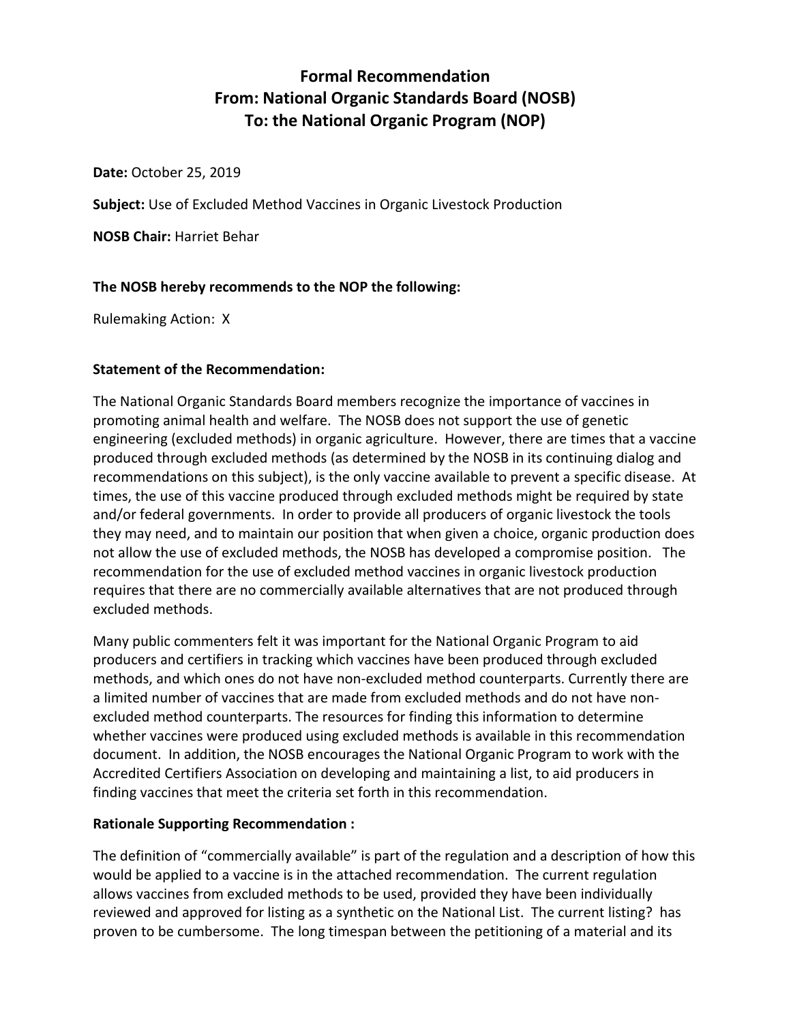# **Formal Recommendation From: National Organic Standards Board (NOSB) To: the National Organic Program (NOP)**

**Date:** October 25, 2019

**Subject:** Use of Excluded Method Vaccines in Organic Livestock Production

**NOSB Chair:** Harriet Behar

# **The NOSB hereby recommends to the NOP the following:**

Rulemaking Action: X

# **Statement of the Recommendation:**

The National Organic Standards Board members recognize the importance of vaccines in promoting animal health and welfare. The NOSB does not support the use of genetic engineering (excluded methods) in organic agriculture. However, there are times that a vaccine produced through excluded methods (as determined by the NOSB in its continuing dialog and recommendations on this subject), is the only vaccine available to prevent a specific disease. At times, the use of this vaccine produced through excluded methods might be required by state and/or federal governments. In order to provide all producers of organic livestock the tools they may need, and to maintain our position that when given a choice, organic production does not allow the use of excluded methods, the NOSB has developed a compromise position. The recommendation for the use of excluded method vaccines in organic livestock production requires that there are no commercially available alternatives that are not produced through excluded methods.

Many public commenters felt it was important for the National Organic Program to aid producers and certifiers in tracking which vaccines have been produced through excluded methods, and which ones do not have non-excluded method counterparts. Currently there are a limited number of vaccines that are made from excluded methods and do not have nonexcluded method counterparts. The resources for finding this information to determine whether vaccines were produced using excluded methods is available in this recommendation document. In addition, the NOSB encourages the National Organic Program to work with the Accredited Certifiers Association on developing and maintaining a list, to aid producers in finding vaccines that meet the criteria set forth in this recommendation.

# **Rationale Supporting Recommendation :**

The definition of "commercially available" is part of the regulation and a description of how this would be applied to a vaccine is in the attached recommendation. The current regulation allows vaccines from excluded methods to be used, provided they have been individually reviewed and approved for listing as a synthetic on the National List. The current listing? has proven to be cumbersome. The long timespan between the petitioning of a material and its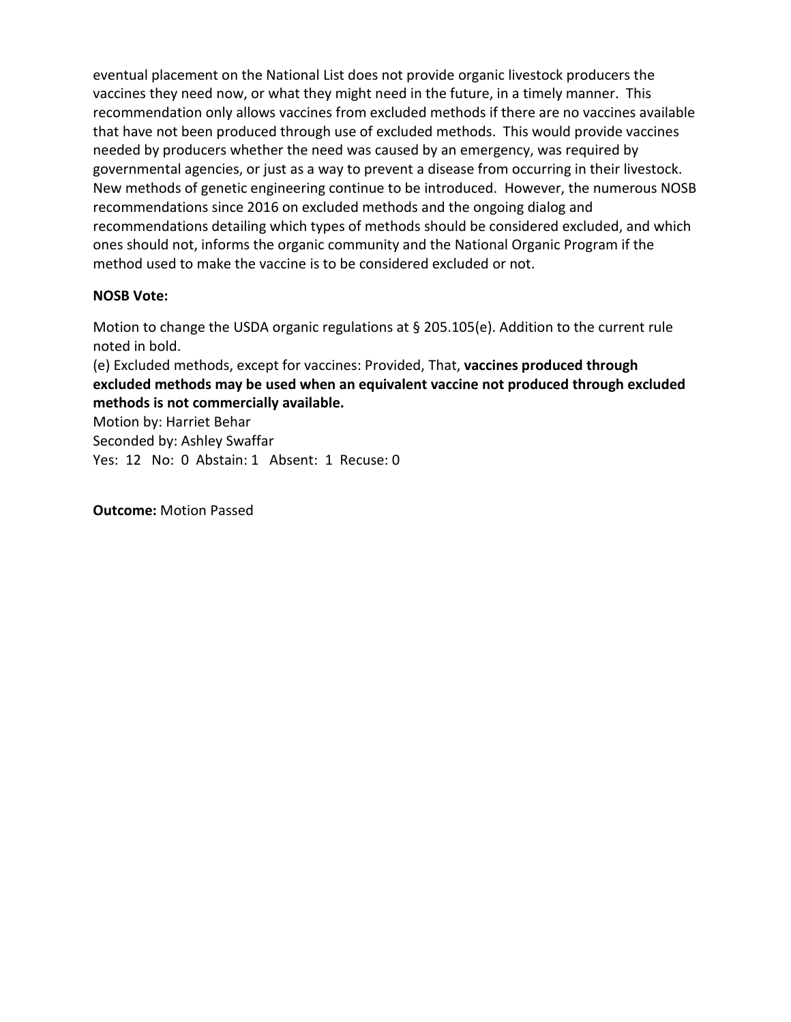eventual placement on the National List does not provide organic livestock producers the vaccines they need now, or what they might need in the future, in a timely manner. This recommendation only allows vaccines from excluded methods if there are no vaccines available that have not been produced through use of excluded methods. This would provide vaccines needed by producers whether the need was caused by an emergency, was required by governmental agencies, or just as a way to prevent a disease from occurring in their livestock. New methods of genetic engineering continue to be introduced. However, the numerous NOSB recommendations since 2016 on excluded methods and the ongoing dialog and recommendations detailing which types of methods should be considered excluded, and which ones should not, informs the organic community and the National Organic Program if the method used to make the vaccine is to be considered excluded or not.

# **NOSB Vote:**

Motion to change the USDA organic regulations at § 205.105(e). Addition to the current rule noted in bold.

(e) Excluded methods, except for vaccines: Provided, That, **vaccines produced through excluded methods may be used when an equivalent vaccine not produced through excluded methods is not commercially available.**

Motion by: Harriet Behar

Seconded by: Ashley Swaffar

Yes: 12 No: 0 Abstain: 1 Absent: 1 Recuse: 0

**Outcome:** Motion Passed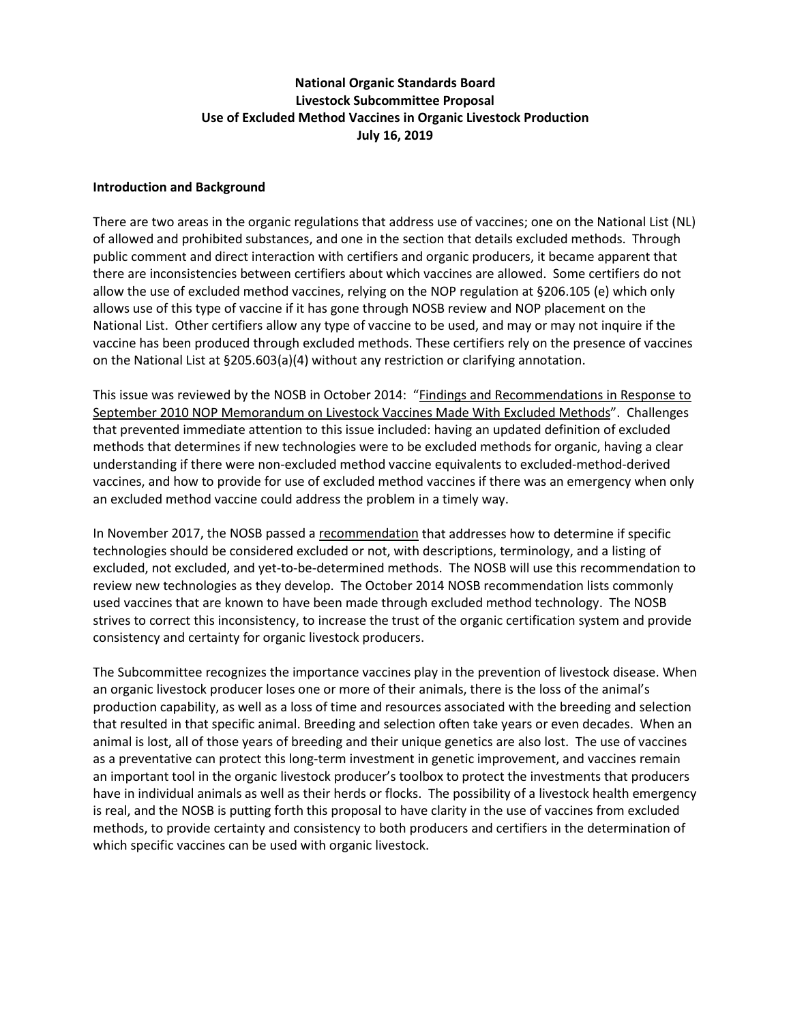# **National Organic Standards Board Livestock Subcommittee Proposal Use of Excluded Method Vaccines in Organic Livestock Production July 16, 2019**

#### **Introduction and Background**

There are two areas in the organic regulations that address use of vaccines; one on the National List (NL) of allowed and prohibited substances, and one in the section that details excluded methods. Through public comment and direct interaction with certifiers and organic producers, it became apparent that there are inconsistencies between certifiers about which vaccines are allowed. Some certifiers do not allow the use of excluded method vaccines, relying on the NOP regulation at §206.105 (e) which only allows use of this type of vaccine if it has gone through NOSB review and NOP placement on the National List. Other certifiers allow any type of vaccine to be used, and may or may not inquire if the vaccine has been produced through excluded methods. These certifiers rely on the presence of vaccines on the National List at §205.603(a)(4) without any restriction or clarifying annotation.

This issue was reviewed by the NOSB in October 2014: ["Findings and Recommendations](https://www.google.com/url?sa=t&rct=j&q=&esrc=s&source=web&cd=2&cad=rja&uact=8&ved=2ahUKEwiGsq6hpuvfAhWTooMKHT82CO8QFjABegQIAxAC&url=https%3A%2F%2Fwww.ams.usda.gov%2Fsites%2Fdefault%2Ffiles%2Fmedia%2FNOP%2520Livestock%2520Vaccines%2520from%2520Excluded%2520Methods.pdf&usg=AOvVaw0YUvtm0jFsET0bG6QpFCW9) in Response to [September 2010 NOP Memorandum on Livestock Vaccines Made With Excluded Methods"](https://www.google.com/url?sa=t&rct=j&q=&esrc=s&source=web&cd=2&cad=rja&uact=8&ved=2ahUKEwiGsq6hpuvfAhWTooMKHT82CO8QFjABegQIAxAC&url=https%3A%2F%2Fwww.ams.usda.gov%2Fsites%2Fdefault%2Ffiles%2Fmedia%2FNOP%2520Livestock%2520Vaccines%2520from%2520Excluded%2520Methods.pdf&usg=AOvVaw0YUvtm0jFsET0bG6QpFCW9). Challenges that prevented immediate attention to this issue included: having an updated definition of excluded methods that determines if new technologies were to be excluded methods for organic, having a clear understanding if there were non-excluded method vaccine equivalents to excluded-method-derived vaccines, and how to provide for use of excluded method vaccines if there was an emergency when only an excluded method vaccine could address the problem in a timely way.

In November 2017, the NOSB passed a [recommendation](https://www.google.com/url?sa=t&rct=j&q=&esrc=s&source=web&cd=1&ved=2ahUKEwjJ7LGDq-vfAhUK4YMKHXUSDoIQFjAAegQIBBAC&url=https%3A%2F%2Fwww.ams.usda.gov%2Fsites%2Fdefault%2Ffiles%2Fmedia%2FMSExcludedMethodsNOPFall2017.pdf&usg=AOvVaw2vLeKom3z8C80nKmAOCfbU) that addresses how to determine if specific technologies should be considered excluded or not, with descriptions, terminology, and a listing of excluded, not excluded, and yet-to-be-determined methods. The NOSB will use this recommendation to review new technologies as they develop. The October 2014 NOSB recommendation lists commonly used vaccines that are known to have been made through excluded method technology. The NOSB strives to correct this inconsistency, to increase the trust of the organic certification system and provide consistency and certainty for organic livestock producers.

The Subcommittee recognizes the importance vaccines play in the prevention of livestock disease. When an organic livestock producer loses one or more of their animals, there is the loss of the animal's production capability, as well as a loss of time and resources associated with the breeding and selection that resulted in that specific animal. Breeding and selection often take years or even decades. When an animal is lost, all of those years of breeding and their unique genetics are also lost. The use of vaccines as a preventative can protect this long-term investment in genetic improvement, and vaccines remain an important tool in the organic livestock producer's toolbox to protect the investments that producers have in individual animals as well as their herds or flocks. The possibility of a livestock health emergency is real, and the NOSB is putting forth this proposal to have clarity in the use of vaccines from excluded methods, to provide certainty and consistency to both producers and certifiers in the determination of which specific vaccines can be used with organic livestock.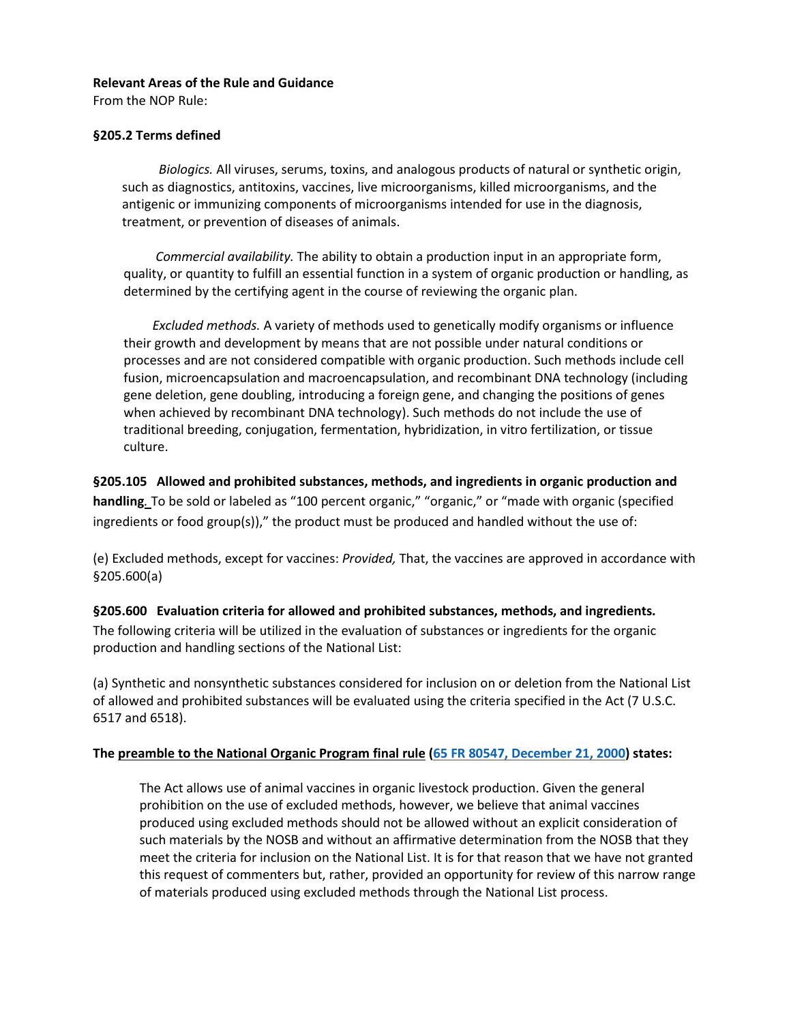#### **Relevant Areas of the Rule and Guidance**

From the NOP Rule:

#### **§205.2 Terms defined**

 *Biologics.* All viruses, serums, toxins, and analogous products of natural or synthetic origin, such as diagnostics, antitoxins, vaccines, live microorganisms, killed microorganisms, and the antigenic or immunizing components of microorganisms intended for use in the diagnosis, treatment, or prevention of diseases of animals.

*Commercial availability.* The ability to obtain a production input in an appropriate form, quality, or quantity to fulfill an essential function in a system of organic production or handling, as determined by the certifying agent in the course of reviewing the organic plan.

 *Excluded methods.* A variety of methods used to genetically modify organisms or influence their growth and development by means that are not possible under natural conditions or processes and are not considered compatible with organic production. Such methods include cell fusion, microencapsulation and macroencapsulation, and recombinant DNA technology (including gene deletion, gene doubling, introducing a foreign gene, and changing the positions of genes when achieved by recombinant DNA technology). Such methods do not include the use of traditional breeding, conjugation, fermentation, hybridization, in vitro fertilization, or tissue culture.

**§205.105 Allowed and prohibited substances, methods, and ingredients in organic production and handling***.* To be sold or labeled as "100 percent organic," "organic," or "made with organic (specified ingredients or food group(s))," the product must be produced and handled without the use of:

(e) Excluded methods, except for vaccines: *Provided,* That, the vaccines are approved in accordance with §205.600(a)

## **§205.600 Evaluation criteria for allowed and prohibited substances, methods, and ingredients.** The following criteria will be utilized in the evaluation of substances or ingredients for the organic production and handling sections of the National List:

(a) Synthetic and nonsynthetic substances considered for inclusion on or deletion from the National List of allowed and prohibited substances will be evaluated using the criteria specified in the Act (7 U.S.C. 6517 and 6518).

#### **The [preamble to the National Organic Program final rule](https://www.google.com/url?sa=t&rct=j&q=&esrc=s&source=web&cd=1&cad=rja&uact=8&ved=2ahUKEwjXnPjDqOvfAhVH2IMKHU1vCycQFjAAegQIChAC&url=https%3A%2F%2Fwww.ams.usda.gov%2Fsites%2Fdefault%2Ffiles%2Fmedia%2FNOP%2520Preamble%2520Full%2520Version.pdf&usg=AOvVaw3vO-yEQGpNkrKrvta-OsYj) [\(65 FR 80547, December 21, 2000\)](https://www.federalregister.gov/documents/2000/12/21/00-32257/national-organic-program#h-33) states:**

The Act allows use of animal vaccines in organic livestock production. Given the general prohibition on the use of excluded methods, however, we believe that animal vaccines produced using excluded methods should not be allowed without an explicit consideration of such materials by the NOSB and without an affirmative determination from the NOSB that they meet the criteria for inclusion on the National List. It is for that reason that we have not granted this request of commenters but, rather, provided an opportunity for review of this narrow range of materials produced using excluded methods through the National List process.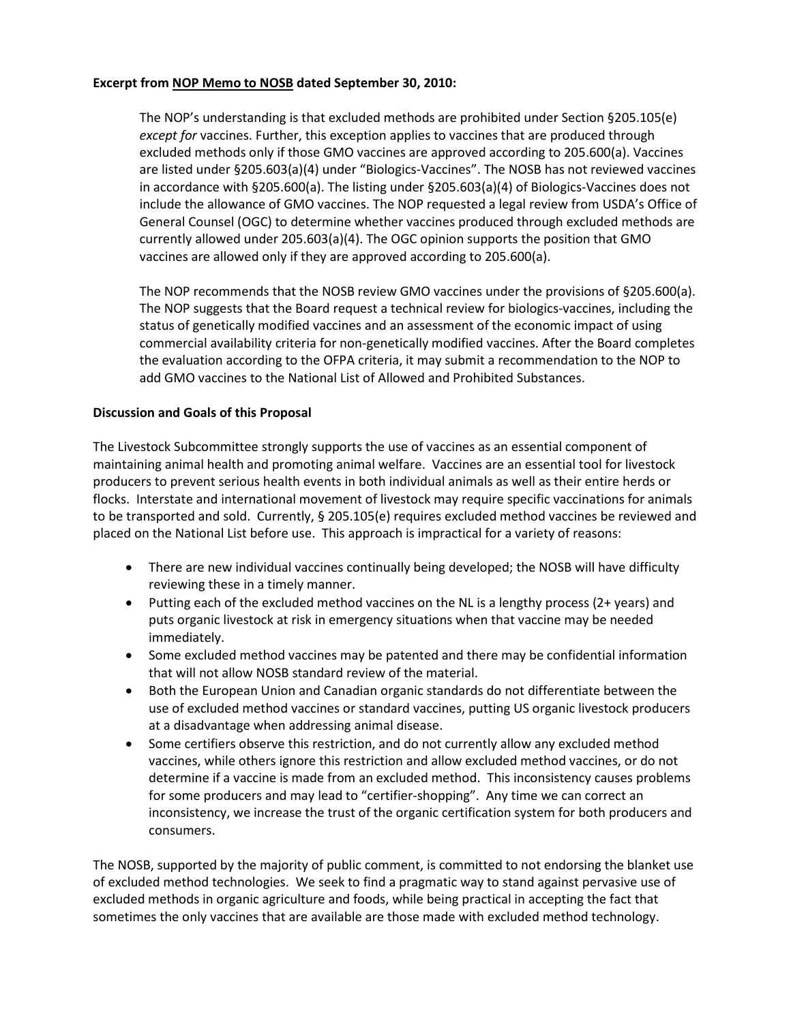#### **Excerpt fro[m NOP Memo to NOSB](https://www.ams.usda.gov/rules-regulations/organic/nosb/memos-nosb) dated September 30, 2010:**

The NOP's understanding is that excluded methods are prohibited under Section §205.105(e) *except for* vaccines. Further, this exception applies to vaccines that are produced through excluded methods only if those GMO vaccines are approved according to 205.600(a). Vaccines are listed under §205.603(a)(4) under "Biologics-Vaccines". The NOSB has not reviewed vaccines in accordance with §205.600(a). The listing under §205.603(a)(4) of Biologics-Vaccines does not include the allowance of GMO vaccines. The NOP requested a legal review from USDA's Office of General Counsel (OGC) to determine whether vaccines produced through excluded methods are currently allowed under 205.603(a)(4). The OGC opinion supports the position that GMO vaccines are allowed only if they are approved according to 205.600(a).

The NOP recommends that the NOSB review GMO vaccines under the provisions of §205.600(a). The NOP suggests that the Board request a technical review for biologics-vaccines, including the status of genetically modified vaccines and an assessment of the economic impact of using commercial availability criteria for non-genetically modified vaccines. After the Board completes the evaluation according to the OFPA criteria, it may submit a recommendation to the NOP to add GMO vaccines to the National List of Allowed and Prohibited Substances.

#### **Discussion and Goals of this Proposal**

The Livestock Subcommittee strongly supports the use of vaccines as an essential component of maintaining animal health and promoting animal welfare. Vaccines are an essential tool for livestock producers to prevent serious health events in both individual animals as well as their entire herds or flocks. Interstate and international movement of livestock may require specific vaccinations for animals to be transported and sold. Currently, § 205.105(e) requires excluded method vaccines be reviewed and placed on the National List before use. This approach is impractical for a variety of reasons:

- There are new individual vaccines continually being developed; the NOSB will have difficulty reviewing these in a timely manner.
- Putting each of the excluded method vaccines on the NL is a lengthy process (2+ years) and puts organic livestock at risk in emergency situations when that vaccine may be needed immediately.
- Some excluded method vaccines may be patented and there may be confidential information that will not allow NOSB standard review of the material.
- Both the European Union and Canadian organic standards do not differentiate between the use of excluded method vaccines or standard vaccines, putting US organic livestock producers at a disadvantage when addressing animal disease.
- Some certifiers observe this restriction, and do not currently allow any excluded method vaccines, while others ignore this restriction and allow excluded method vaccines, or do not determine if a vaccine is made from an excluded method. This inconsistency causes problems for some producers and may lead to "certifier-shopping". Any time we can correct an inconsistency, we increase the trust of the organic certification system for both producers and consumers.

The NOSB, supported by the majority of public comment, is committed to not endorsing the blanket use of excluded method technologies. We seek to find a pragmatic way to stand against pervasive use of excluded methods in organic agriculture and foods, while being practical in accepting the fact that sometimes the only vaccines that are available are those made with excluded method technology.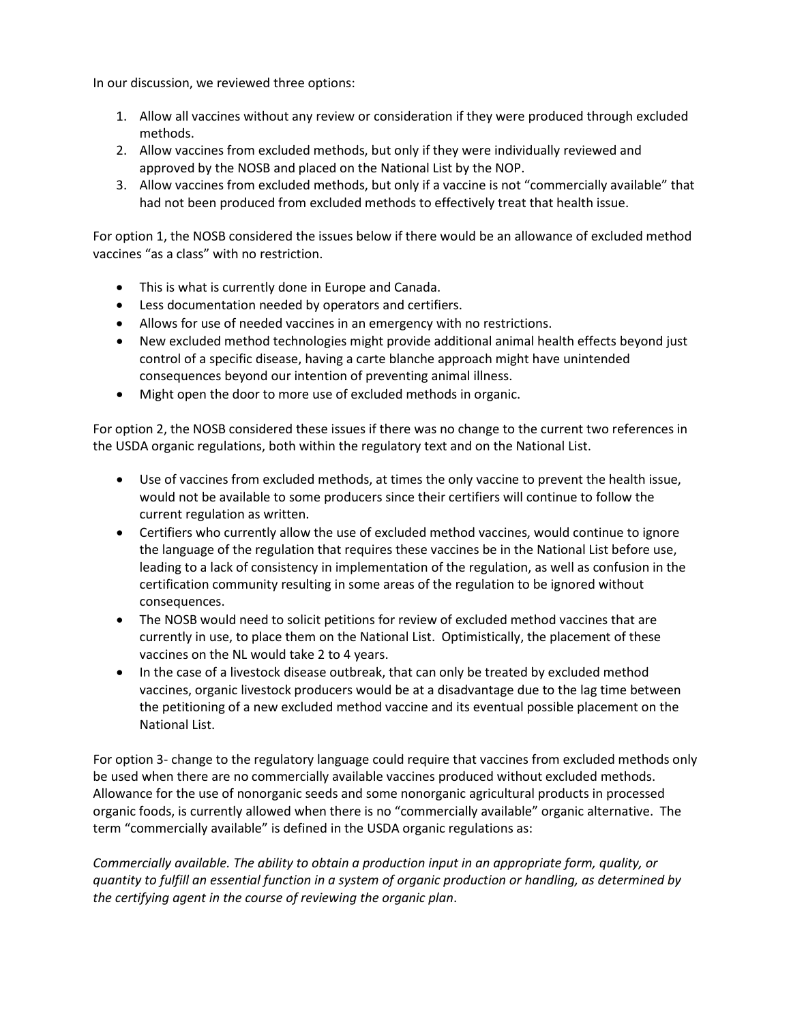In our discussion, we reviewed three options:

- 1. Allow all vaccines without any review or consideration if they were produced through excluded methods.
- 2. Allow vaccines from excluded methods, but only if they were individually reviewed and approved by the NOSB and placed on the National List by the NOP.
- 3. Allow vaccines from excluded methods, but only if a vaccine is not "commercially available" that had not been produced from excluded methods to effectively treat that health issue.

For option 1, the NOSB considered the issues below if there would be an allowance of excluded method vaccines "as a class" with no restriction.

- This is what is currently done in Europe and Canada.
- Less documentation needed by operators and certifiers.
- Allows for use of needed vaccines in an emergency with no restrictions.
- New excluded method technologies might provide additional animal health effects beyond just control of a specific disease, having a carte blanche approach might have unintended consequences beyond our intention of preventing animal illness.
- Might open the door to more use of excluded methods in organic.

For option 2, the NOSB considered these issues if there was no change to the current two references in the USDA organic regulations, both within the regulatory text and on the National List.

- Use of vaccines from excluded methods, at times the only vaccine to prevent the health issue, would not be available to some producers since their certifiers will continue to follow the current regulation as written.
- Certifiers who currently allow the use of excluded method vaccines, would continue to ignore the language of the regulation that requires these vaccines be in the National List before use, leading to a lack of consistency in implementation of the regulation, as well as confusion in the certification community resulting in some areas of the regulation to be ignored without consequences.
- The NOSB would need to solicit petitions for review of excluded method vaccines that are currently in use, to place them on the National List. Optimistically, the placement of these vaccines on the NL would take 2 to 4 years.
- In the case of a livestock disease outbreak, that can only be treated by excluded method vaccines, organic livestock producers would be at a disadvantage due to the lag time between the petitioning of a new excluded method vaccine and its eventual possible placement on the National List.

For option 3- change to the regulatory language could require that vaccines from excluded methods only be used when there are no commercially available vaccines produced without excluded methods. Allowance for the use of nonorganic seeds and some nonorganic agricultural products in processed organic foods, is currently allowed when there is no "commercially available" organic alternative. The term "commercially available" is defined in the USDA organic regulations as:

*Commercially available. The ability to obtain a production input in an appropriate form, quality, or quantity to fulfill an essential function in a system of organic production or handling, as determined by the certifying agent in the course of reviewing the organic plan*.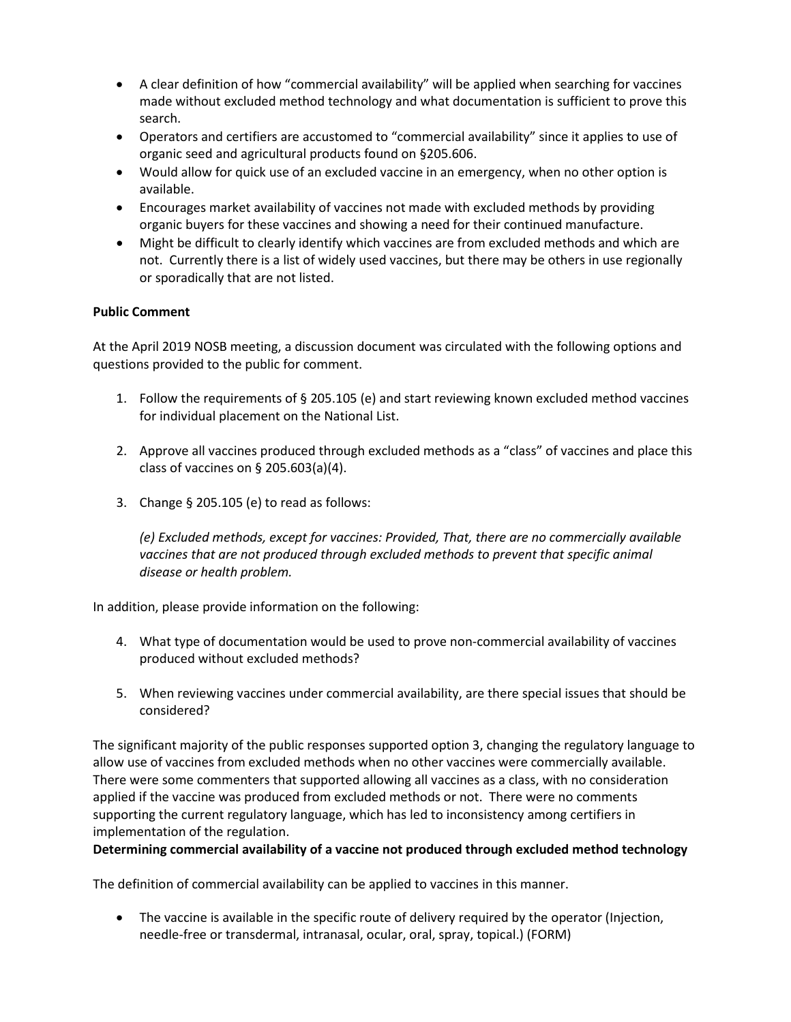- A clear definition of how "commercial availability" will be applied when searching for vaccines made without excluded method technology and what documentation is sufficient to prove this search.
- Operators and certifiers are accustomed to "commercial availability" since it applies to use of organic seed and agricultural products found on §205.606.
- Would allow for quick use of an excluded vaccine in an emergency, when no other option is available.
- Encourages market availability of vaccines not made with excluded methods by providing organic buyers for these vaccines and showing a need for their continued manufacture.
- Might be difficult to clearly identify which vaccines are from excluded methods and which are not. Currently there is a list of widely used vaccines, but there may be others in use regionally or sporadically that are not listed.

### **Public Comment**

At the April 2019 NOSB meeting, a discussion document was circulated with the following options and questions provided to the public for comment.

- 1. Follow the requirements of § 205.105 (e) and start reviewing known excluded method vaccines for individual placement on the National List.
- 2. Approve all vaccines produced through excluded methods as a "class" of vaccines and place this class of vaccines on § 205.603(a)(4).
- 3. Change § 205.105 (e) to read as follows:

*(e) Excluded methods, except for vaccines: Provided, That, there are no commercially available vaccines that are not produced through excluded methods to prevent that specific animal disease or health problem.*

In addition, please provide information on the following:

- 4. What type of documentation would be used to prove non-commercial availability of vaccines produced without excluded methods?
- 5. When reviewing vaccines under commercial availability, are there special issues that should be considered?

The significant majority of the public responses supported option 3, changing the regulatory language to allow use of vaccines from excluded methods when no other vaccines were commercially available. There were some commenters that supported allowing all vaccines as a class, with no consideration applied if the vaccine was produced from excluded methods or not. There were no comments supporting the current regulatory language, which has led to inconsistency among certifiers in implementation of the regulation.

#### **Determining commercial availability of a vaccine not produced through excluded method technology**

The definition of commercial availability can be applied to vaccines in this manner.

• The vaccine is available in the specific route of delivery required by the operator (Injection, needle-free or transdermal, intranasal, ocular, oral, spray, topical.) (FORM)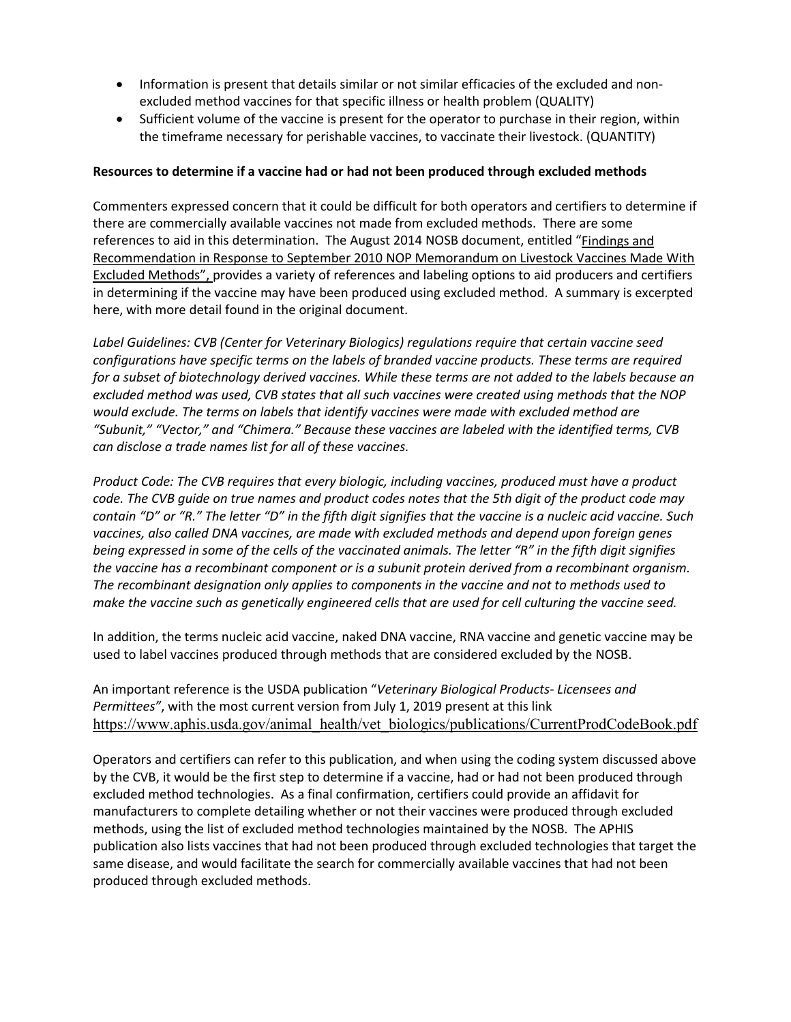- Information is present that details similar or not similar efficacies of the excluded and nonexcluded method vaccines for that specific illness or health problem (QUALITY)
- Sufficient volume of the vaccine is present for the operator to purchase in their region, within the timeframe necessary for perishable vaccines, to vaccinate their livestock. (QUANTITY)

#### **Resources to determine if a vaccine had or had not been produced through excluded methods**

Commenters expressed concern that it could be difficult for both operators and certifiers to determine if there are commercially available vaccines not made from excluded methods. There are some references to aid in this determination. The August 2014 NOSB document, entitled ["Findings and](https://www.google.com/url?sa=t&rct=j&q=&esrc=s&source=web&cd=2&cad=rja&uact=8&ved=2ahUKEwiGsq6hpuvfAhWTooMKHT82CO8QFjABegQIAxAC&url=https%3A%2F%2Fwww.ams.usda.gov%2Fsites%2Fdefault%2Ffiles%2Fmedia%2FNOP%2520Livestock%2520Vaccines%2520from%2520Excluded%2520Methods.pdf&usg=AOvVaw0YUvtm0jFsET0bG6QpFCW9)  [Recommendation in Response to September 2010 NOP Memorandum on Livestock Vaccines Made With](https://www.google.com/url?sa=t&rct=j&q=&esrc=s&source=web&cd=2&cad=rja&uact=8&ved=2ahUKEwiGsq6hpuvfAhWTooMKHT82CO8QFjABegQIAxAC&url=https%3A%2F%2Fwww.ams.usda.gov%2Fsites%2Fdefault%2Ffiles%2Fmedia%2FNOP%2520Livestock%2520Vaccines%2520from%2520Excluded%2520Methods.pdf&usg=AOvVaw0YUvtm0jFsET0bG6QpFCW9)  [Excluded Methods"](https://www.google.com/url?sa=t&rct=j&q=&esrc=s&source=web&cd=2&cad=rja&uact=8&ved=2ahUKEwiGsq6hpuvfAhWTooMKHT82CO8QFjABegQIAxAC&url=https%3A%2F%2Fwww.ams.usda.gov%2Fsites%2Fdefault%2Ffiles%2Fmedia%2FNOP%2520Livestock%2520Vaccines%2520from%2520Excluded%2520Methods.pdf&usg=AOvVaw0YUvtm0jFsET0bG6QpFCW9), provides a variety of references and labeling options to aid producers and certifiers in determining if the vaccine may have been produced using excluded method. A summary is excerpted here, with more detail found in the original document.

*Label Guidelines: CVB (Center for Veterinary Biologics) regulations require that certain vaccine seed configurations have specific terms on the labels of branded vaccine products. These terms are required for a subset of biotechnology derived vaccines. While these terms are not added to the labels because an excluded method was used, CVB states that all such vaccines were created using methods that the NOP would exclude. The terms on labels that identify vaccines were made with excluded method are "Subunit," "Vector," and "Chimera." Because these vaccines are labeled with the identified terms, CVB can disclose a trade names list for all of these vaccines.*

*Product Code: The CVB requires that every biologic, including vaccines, produced must have a product code. The CVB guide on true names and product codes notes that the 5th digit of the product code may contain "D" or "R." The letter "D" in the fifth digit signifies that the vaccine is a nucleic acid vaccine. Such vaccines, also called DNA vaccines, are made with excluded methods and depend upon foreign genes being expressed in some of the cells of the vaccinated animals. The letter "R" in the fifth digit signifies the vaccine has a recombinant component or is a subunit protein derived from a recombinant organism. The recombinant designation only applies to components in the vaccine and not to methods used to make the vaccine such as genetically engineered cells that are used for cell culturing the vaccine seed.* 

In addition, the terms nucleic acid vaccine, naked DNA vaccine, RNA vaccine and genetic vaccine may be used to label vaccines produced through methods that are considered excluded by the NOSB.

An important reference is the USDA publication "*Veterinary Biological Products- Licensees and Permittees"*, with the most current version from July 1, 2019 present at this link [https://www.aphis.usda.gov/animal\\_health/vet\\_biologics/publications/CurrentProdCodeBook.pdf](https://www.aphis.usda.gov/animal_health/vet_biologics/publications/CurrentProdCodeBook.pdf)

Operators and certifiers can refer to this publication, and when using the coding system discussed above by the CVB, it would be the first step to determine if a vaccine, had or had not been produced through excluded method technologies. As a final confirmation, certifiers could provide an affidavit for manufacturers to complete detailing whether or not their vaccines were produced through excluded methods, using the list of excluded method technologies maintained by the NOSB. The APHIS publication also lists vaccines that had not been produced through excluded technologies that target the same disease, and would facilitate the search for commercially available vaccines that had not been produced through excluded methods.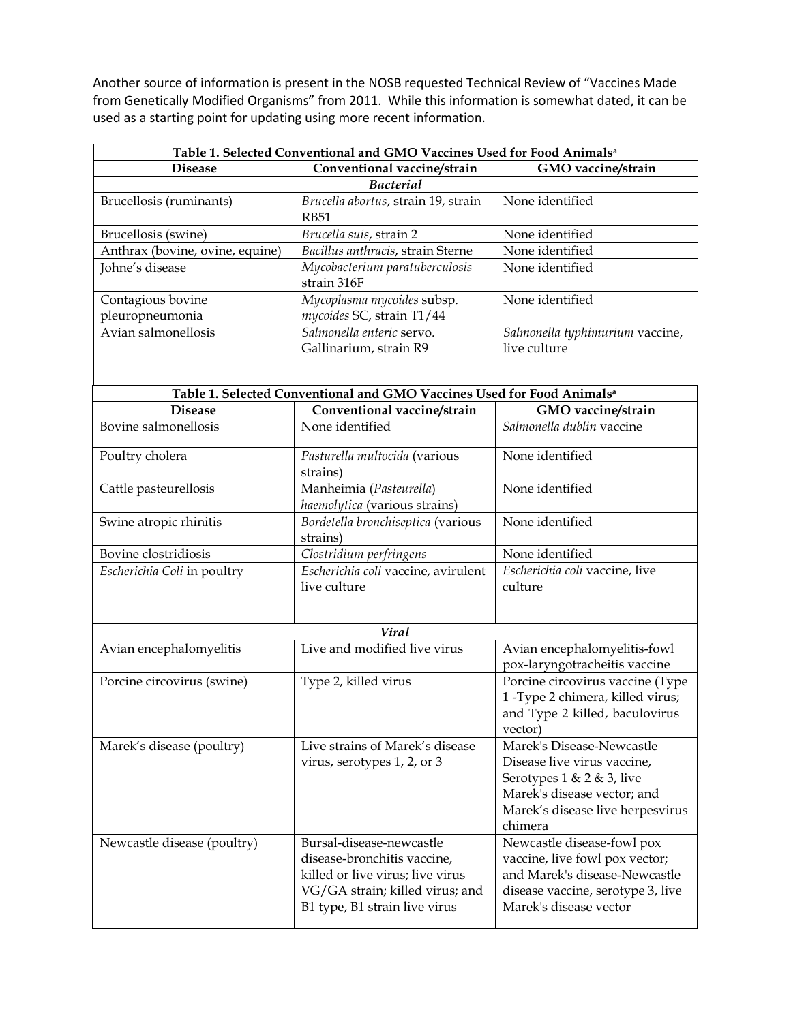Another source of information is present in the NOSB requested Technical Review of "Vaccines Made from Genetically Modified Organisms" from 2011. While this information is somewhat dated, it can be used as a starting point for updating using more recent information.

| Table 1. Selected Conventional and GMO Vaccines Used for Food Animals <sup>a</sup> |                                                                                                                                                                 |                                                                                                                                                                        |  |
|------------------------------------------------------------------------------------|-----------------------------------------------------------------------------------------------------------------------------------------------------------------|------------------------------------------------------------------------------------------------------------------------------------------------------------------------|--|
| <b>Disease</b>                                                                     | Conventional vaccine/strain                                                                                                                                     | GMO vaccine/strain                                                                                                                                                     |  |
| <b>Bacterial</b>                                                                   |                                                                                                                                                                 |                                                                                                                                                                        |  |
| Brucellosis (ruminants)                                                            | Brucella abortus, strain 19, strain<br><b>RB51</b>                                                                                                              | None identified                                                                                                                                                        |  |
| Brucellosis (swine)                                                                | Brucella suis, strain 2                                                                                                                                         | None identified                                                                                                                                                        |  |
| Anthrax (bovine, ovine, equine)                                                    | Bacillus anthracis, strain Sterne                                                                                                                               | None identified                                                                                                                                                        |  |
| Johne's disease                                                                    | Mycobacterium paratuberculosis<br>strain 316F                                                                                                                   | None identified                                                                                                                                                        |  |
| Contagious bovine<br>pleuropneumonia                                               | Mycoplasma mycoides subsp.<br>mycoides SC, strain T1/44                                                                                                         | None identified                                                                                                                                                        |  |
| Avian salmonellosis                                                                | Salmonella enteric servo.<br>Gallinarium, strain R9                                                                                                             | Salmonella typhimurium vaccine,<br>live culture                                                                                                                        |  |
|                                                                                    | Table 1. Selected Conventional and GMO Vaccines Used for Food Animals <sup>a</sup>                                                                              |                                                                                                                                                                        |  |
| <b>Disease</b>                                                                     | Conventional vaccine/strain                                                                                                                                     | GMO vaccine/strain                                                                                                                                                     |  |
| Bovine salmonellosis                                                               | None identified                                                                                                                                                 | Salmonella dublin vaccine                                                                                                                                              |  |
| Poultry cholera                                                                    | Pasturella multocida (various<br>strains)                                                                                                                       | None identified                                                                                                                                                        |  |
| Cattle pasteurellosis                                                              | Manheimia (Pasteurella)<br>haemolytica (various strains)                                                                                                        | None identified                                                                                                                                                        |  |
| Swine atropic rhinitis                                                             | Bordetella bronchiseptica (various<br>strains)                                                                                                                  | None identified                                                                                                                                                        |  |
| Bovine clostridiosis                                                               | Clostridium perfringens                                                                                                                                         | None identified                                                                                                                                                        |  |
| Escherichia Coli in poultry                                                        | Escherichia coli vaccine, avirulent<br>live culture                                                                                                             | Escherichia coli vaccine, live<br>culture                                                                                                                              |  |
| <b>Viral</b>                                                                       |                                                                                                                                                                 |                                                                                                                                                                        |  |
| Avian encephalomyelitis                                                            | Live and modified live virus                                                                                                                                    | Avian encephalomyelitis-fowl<br>pox-laryngotracheitis vaccine                                                                                                          |  |
| Porcine circovirus (swine)                                                         | Type 2, killed virus                                                                                                                                            | Porcine circovirus vaccine (Type<br>1-Type 2 chimera, killed virus;<br>and Type 2 killed, baculovirus<br>vector)                                                       |  |
| Marek's disease (poultry)                                                          | Live strains of Marek's disease<br>virus, serotypes 1, 2, or 3                                                                                                  | Marek's Disease-Newcastle<br>Disease live virus vaccine,<br>Serotypes $1 < 2 < 3$ , live<br>Marek's disease vector; and<br>Marek's disease live herpesvirus<br>chimera |  |
| Newcastle disease (poultry)                                                        | Bursal-disease-newcastle<br>disease-bronchitis vaccine,<br>killed or live virus; live virus<br>VG/GA strain; killed virus; and<br>B1 type, B1 strain live virus | Newcastle disease-fowl pox<br>vaccine, live fowl pox vector;<br>and Marek's disease-Newcastle<br>disease vaccine, serotype 3, live<br>Marek's disease vector           |  |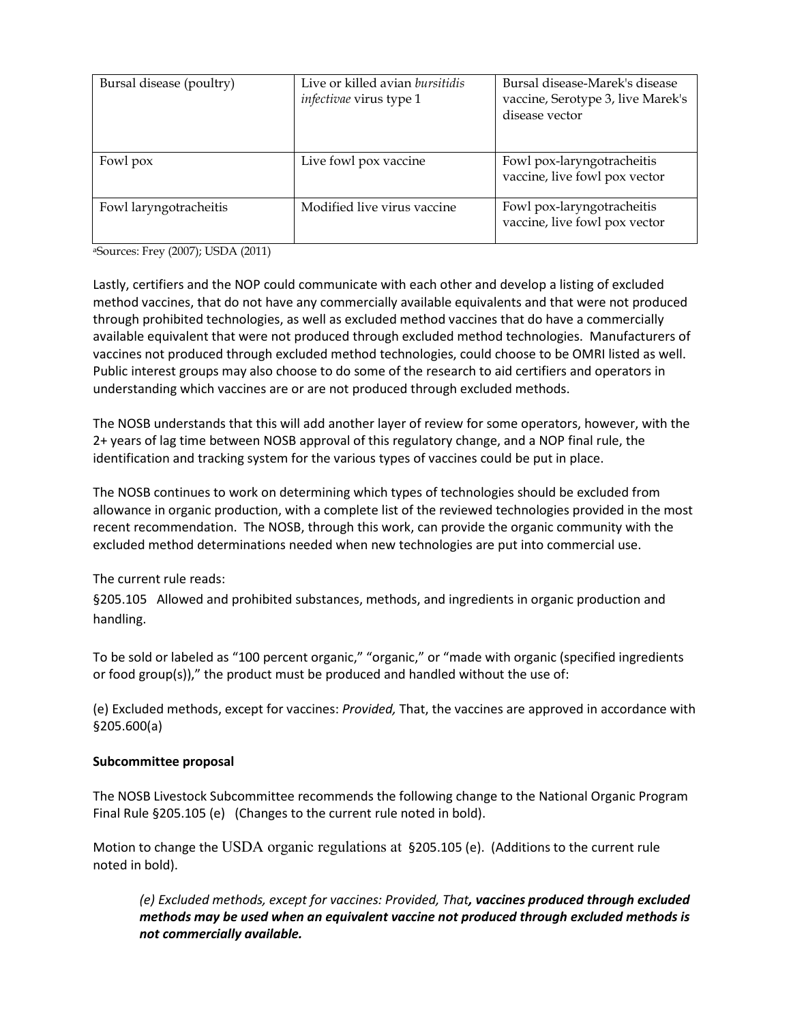| Bursal disease (poultry) | Live or killed avian bursitidis<br><i>infectivae</i> virus type 1 | Bursal disease-Marek's disease<br>vaccine, Serotype 3, live Marek's<br>disease vector |
|--------------------------|-------------------------------------------------------------------|---------------------------------------------------------------------------------------|
| Fowl pox                 | Live fowl pox vaccine                                             | Fowl pox-laryngotracheitis<br>vaccine, live fowl pox vector                           |
| Fowl laryngotracheitis   | Modified live virus vaccine                                       | Fowl pox-laryngotracheitis<br>vaccine, live fowl pox vector                           |

aSources: Frey (2007); USDA (2011)

Lastly, certifiers and the NOP could communicate with each other and develop a listing of excluded method vaccines, that do not have any commercially available equivalents and that were not produced through prohibited technologies, as well as excluded method vaccines that do have a commercially available equivalent that were not produced through excluded method technologies. Manufacturers of vaccines not produced through excluded method technologies, could choose to be OMRI listed as well. Public interest groups may also choose to do some of the research to aid certifiers and operators in understanding which vaccines are or are not produced through excluded methods.

The NOSB understands that this will add another layer of review for some operators, however, with the 2+ years of lag time between NOSB approval of this regulatory change, and a NOP final rule, the identification and tracking system for the various types of vaccines could be put in place.

The NOSB continues to work on determining which types of technologies should be excluded from allowance in organic production, with a complete list of the reviewed technologies provided in the most recent recommendation. The NOSB, through this work, can provide the organic community with the excluded method determinations needed when new technologies are put into commercial use.

# The current rule reads:

§205.105 Allowed and prohibited substances, methods, and ingredients in organic production and handling.

To be sold or labeled as "100 percent organic," "organic," or "made with organic (specified ingredients or food group(s))," the product must be produced and handled without the use of:

(e) Excluded methods, except for vaccines: *Provided,* That, the vaccines are approved in accordance with §205.600(a)

# **Subcommittee proposal**

The NOSB Livestock Subcommittee recommends the following change to the National Organic Program Final Rule §205.105 (e) (Changes to the current rule noted in bold).

Motion to change the USDA organic regulations at §205.105 (e). (Additions to the current rule noted in bold).

*(e) Excluded methods, except for vaccines: Provided, That, vaccines produced through excluded methods may be used when an equivalent vaccine not produced through excluded methods is not commercially available.*